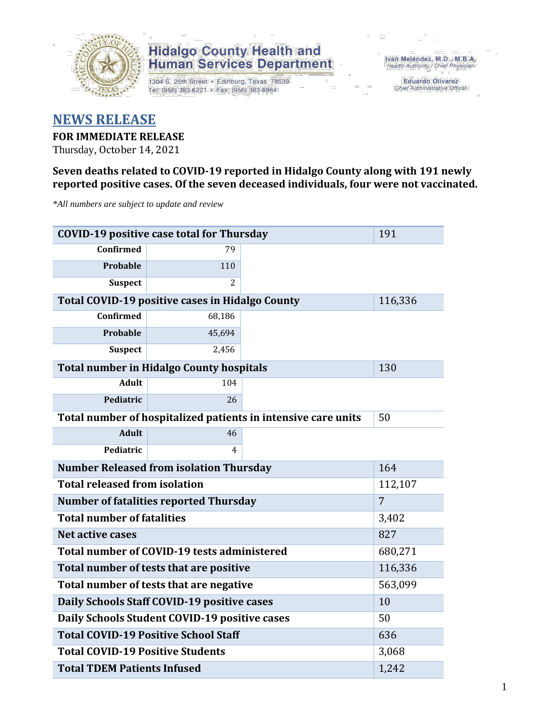

1304 S. 25th Street · Edinburg, Texas 78539 Tel: (956) 383-6221 · Fax: (956) 383-8864

Iván Meléndez, M.D., M.B.A.<br>Health Authority / Chief Physician

Eduardo Olivarez Chief Administrative Officer

### **NEWS RELEASE**

#### **FOR IMMEDIATE RELEASE**

Thursday, October 14, 2021

#### **Seven deaths related to COVID-19 reported in Hidalgo County along with 191 newly reported positive cases. Of the seven deceased individuals, four were not vaccinated.**

*\*All numbers are subject to update and review*

| <b>COVID-19 positive case total for Thursday</b> | 191                                                    |                                                               |         |  |  |
|--------------------------------------------------|--------------------------------------------------------|---------------------------------------------------------------|---------|--|--|
| <b>Confirmed</b>                                 | 79                                                     |                                                               |         |  |  |
| Probable                                         | 110                                                    |                                                               |         |  |  |
| <b>Suspect</b>                                   | $\mathcal{L}$                                          |                                                               |         |  |  |
|                                                  | <b>Total COVID-19 positive cases in Hidalgo County</b> |                                                               | 116,336 |  |  |
| Confirmed                                        | 68,186                                                 |                                                               |         |  |  |
| <b>Probable</b>                                  | 45,694                                                 |                                                               |         |  |  |
| <b>Suspect</b>                                   | 2,456                                                  |                                                               |         |  |  |
|                                                  | <b>Total number in Hidalgo County hospitals</b>        |                                                               | 130     |  |  |
| <b>Adult</b>                                     | 104                                                    |                                                               |         |  |  |
| Pediatric                                        | 26                                                     |                                                               |         |  |  |
|                                                  |                                                        | Total number of hospitalized patients in intensive care units | 50      |  |  |
| <b>Adult</b>                                     | 46                                                     |                                                               |         |  |  |
| Pediatric                                        | 4                                                      |                                                               |         |  |  |
| <b>Number Released from isolation Thursday</b>   | 164                                                    |                                                               |         |  |  |
| <b>Total released from isolation</b><br>112,107  |                                                        |                                                               |         |  |  |
| <b>Number of fatalities reported Thursday</b>    | 7                                                      |                                                               |         |  |  |
| <b>Total number of fatalities</b>                | 3,402                                                  |                                                               |         |  |  |
| <b>Net active cases</b>                          | 827                                                    |                                                               |         |  |  |
|                                                  | Total number of COVID-19 tests administered            |                                                               | 680,271 |  |  |
| Total number of tests that are positive          | 116,336                                                |                                                               |         |  |  |
| Total number of tests that are negative          | 563,099                                                |                                                               |         |  |  |
| Daily Schools Staff COVID-19 positive cases      | 10                                                     |                                                               |         |  |  |
| Daily Schools Student COVID-19 positive cases    | 50                                                     |                                                               |         |  |  |
| <b>Total COVID-19 Positive School Staff</b>      | 636                                                    |                                                               |         |  |  |
| <b>Total COVID-19 Positive Students</b>          | 3,068                                                  |                                                               |         |  |  |
| <b>Total TDEM Patients Infused</b>               | 1,242                                                  |                                                               |         |  |  |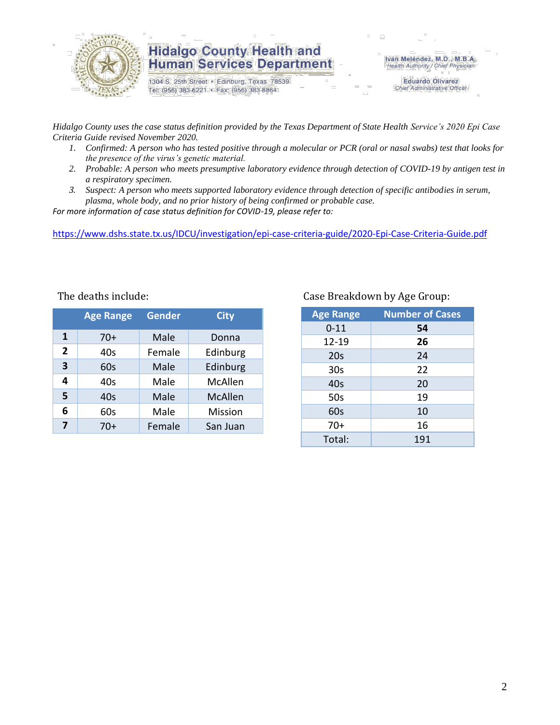

1304 S. 25th Street · Edinburg, Texas 78539 Tel: (956) 383-6221 · Fax: (956) 383-8864

Iván Meléndez, M.D., M.B.A.<br>Health Authority / Chief Physician

**Eduardo Olivarez** Chief Administrative Officer

*Hidalgo County uses the case status definition provided by the Texas Department of State Health Service's 2020 Epi Case Criteria Guide revised November 2020.*

- *1. Confirmed: A person who has tested positive through a molecular or PCR (oral or nasal swabs) test that looks for the presence of the virus's genetic material.*
- *2. Probable: A person who meets presumptive laboratory evidence through detection of COVID-19 by antigen test in a respiratory specimen.*
- *3. Suspect: A person who meets supported laboratory evidence through detection of specific antibodies in serum, plasma, whole body, and no prior history of being confirmed or probable case.*

*For more information of case status definition for COVID-19, please refer to:*

<https://www.dshs.state.tx.us/IDCU/investigation/epi-case-criteria-guide/2020-Epi-Case-Criteria-Guide.pdf>

|  |  | The deaths include: |
|--|--|---------------------|
|--|--|---------------------|

|                         | <b>Age Range</b> | <b>Gender</b> | <b>City</b> |
|-------------------------|------------------|---------------|-------------|
| 1                       | $70+$            | Male          | Donna       |
| $\overline{2}$          | 40s              | Female        | Edinburg    |
| $\overline{\mathbf{3}}$ | 60s              | Male          | Edinburg    |
| 4                       | 40s              | Male          | McAllen     |
| 5                       | 40s              | Male          | McAllen     |
| 6                       | 60s              | Male          | Mission     |
| 7                       | 70+              | Female        | San Juan    |

#### Case Breakdown by Age Group:

| <b>Age Range</b> | <b>Number of Cases</b> |
|------------------|------------------------|
| $0 - 11$         | 54                     |
| 12-19            | 26                     |
| 20s              | 24                     |
| 30 <sub>s</sub>  | 22                     |
| 40s              | 20                     |
| 50s              | 19                     |
| 60s              | 10                     |
| $70+$            | 16                     |
| Total:           | 191                    |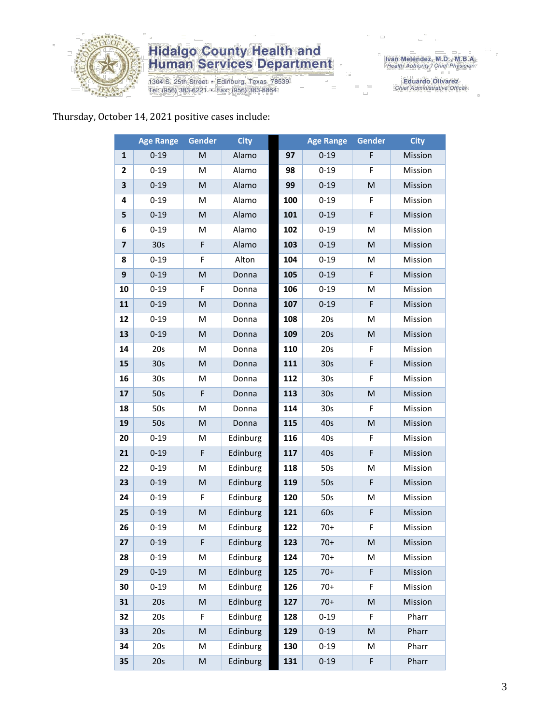

1304 S. 25th Street · Edinburg, Texas 78539 Tel: (956) 383-6221 · Fax: (956) 383-8864

Eduardo Olivarez<br>Chief Administrative Officer

### Thursday, October 14, 2021 positive cases include:

|                  | <b>Age Range</b> | Gender    | <b>City</b> |     | <b>Age Range</b> | Gender | <b>City</b> |
|------------------|------------------|-----------|-------------|-----|------------------|--------|-------------|
| 1                | $0 - 19$         | M         | Alamo       | 97  | $0 - 19$         | F      | Mission     |
| $\mathbf{2}$     | $0 - 19$         | M         | Alamo       | 98  | $0 - 19$         | F      | Mission     |
| 3                | $0 - 19$         | M         | Alamo       | 99  | $0 - 19$         | M      | Mission     |
| 4                | $0 - 19$         | M         | Alamo       | 100 | $0 - 19$         | F      | Mission     |
| 5                | $0 - 19$         | M         | Alamo       | 101 | $0 - 19$         | F      | Mission     |
| 6                | $0 - 19$         | M         | Alamo       | 102 | $0 - 19$         | M      | Mission     |
| $\overline{7}$   | 30 <sub>s</sub>  | F         | Alamo       | 103 | $0 - 19$         | M      | Mission     |
| 8                | $0 - 19$         | F         | Alton       | 104 | $0 - 19$         | M      | Mission     |
| $\boldsymbol{9}$ | $0 - 19$         | M         | Donna       | 105 | $0 - 19$         | F      | Mission     |
| 10               | $0 - 19$         | F         | Donna       | 106 | $0 - 19$         | M      | Mission     |
| 11               | $0 - 19$         | ${\sf M}$ | Donna       | 107 | $0 - 19$         | F      | Mission     |
| 12               | $0 - 19$         | M         | Donna       | 108 | 20s              | M      | Mission     |
| 13               | $0 - 19$         | M         | Donna       | 109 | 20s              | M      | Mission     |
| 14               | 20s              | M         | Donna       | 110 | 20s              | F      | Mission     |
| 15               | 30 <sub>s</sub>  | M         | Donna       | 111 | 30 <sub>s</sub>  | F      | Mission     |
| 16               | 30 <sub>s</sub>  | M         | Donna       | 112 | 30 <sub>s</sub>  | F      | Mission     |
| 17               | 50s              | F         | Donna       | 113 | 30s              | M      | Mission     |
| 18               | 50s              | M         | Donna       | 114 | 30 <sub>s</sub>  | F      | Mission     |
| 19               | 50s              | M         | Donna       | 115 | 40s              | M      | Mission     |
| 20               | $0 - 19$         | M         | Edinburg    | 116 | 40s              | F      | Mission     |
| 21               | $0 - 19$         | F         | Edinburg    | 117 | 40s              | F      | Mission     |
| 22               | $0 - 19$         | м         | Edinburg    | 118 | 50s              | M      | Mission     |
| 23               | $0 - 19$         | M         | Edinburg    | 119 | 50s              | F      | Mission     |
| 24               | $0 - 19$         | F         | Edinburg    | 120 | 50s              | M      | Mission     |
| 25               | $0 - 19$         | ${\sf M}$ | Edinburg    | 121 | 60s              | F      | Mission     |
| 26               | $0 - 19$         | ${\sf M}$ | Edinburg    | 122 | $70+$            | F      | Mission     |
| 27               | $0 - 19$         | F         | Edinburg    | 123 | $70+$            | M      | Mission     |
| 28               | $0 - 19$         | M         | Edinburg    | 124 | $70+$            | M      | Mission     |
| 29               | $0 - 19$         | ${\sf M}$ | Edinburg    | 125 | $70+$            | F      | Mission     |
| 30               | $0 - 19$         | M         | Edinburg    | 126 | $70+$            | F      | Mission     |
| 31               | 20s              | M         | Edinburg    | 127 | $70+$            | M      | Mission     |
| 32               | 20s              | F         | Edinburg    | 128 | $0 - 19$         | F      | Pharr       |
| 33               | 20s              | ${\sf M}$ | Edinburg    | 129 | $0 - 19$         | M      | Pharr       |
| 34               | 20s              | M         | Edinburg    | 130 | $0 - 19$         | M      | Pharr       |
| 35               | 20s              | ${\sf M}$ | Edinburg    | 131 | $0 - 19$         | F      | Pharr       |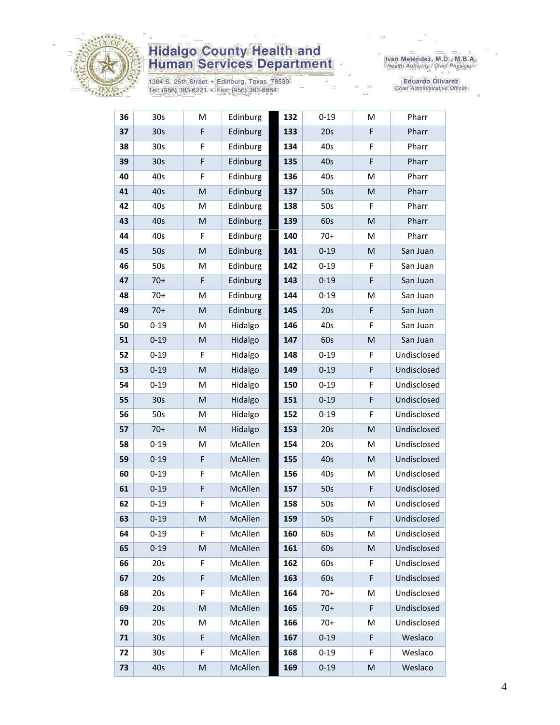

1304 S. 25th Street · Edinburg, Texas 78539 Tel: (956) 383-6221 · Fax: (956) 383-8864

Iván Meléndez, M.D., M.B.A.<br>Health Authority / Chief Physician

Eduardo Olivarez<br>Chief Administrative Officer

| 36 | 30 <sub>s</sub> | M | Edinburg | 132 | $0 - 19$ | M | Pharr       |
|----|-----------------|---|----------|-----|----------|---|-------------|
| 37 | 30 <sub>s</sub> | F | Edinburg | 133 | 20s      | F | Pharr       |
| 38 | 30s             | F | Edinburg | 134 | 40s      | F | Pharr       |
| 39 | 30 <sub>s</sub> | F | Edinburg | 135 | 40s      | F | Pharr       |
| 40 | 40s             | F | Edinburg | 136 | 40s      | M | Pharr       |
| 41 | 40s             | M | Edinburg | 137 | 50s      | M | Pharr       |
| 42 | 40s             | M | Edinburg | 138 | 50s      | F | Pharr       |
| 43 | 40s             | M | Edinburg | 139 | 60s      | M | Pharr       |
| 44 | 40s             | F | Edinburg | 140 | $70+$    | M | Pharr       |
| 45 | 50s             | M | Edinburg | 141 | $0 - 19$ | M | San Juan    |
| 46 | 50s             | M | Edinburg | 142 | $0 - 19$ | F | San Juan    |
| 47 | $70+$           | F | Edinburg | 143 | $0 - 19$ | F | San Juan    |
| 48 | $70+$           | M | Edinburg | 144 | $0 - 19$ | M | San Juan    |
| 49 | $70+$           | M | Edinburg | 145 | 20s      | F | San Juan    |
| 50 | $0 - 19$        | M | Hidalgo  | 146 | 40s      | F | San Juan    |
| 51 | $0 - 19$        | M | Hidalgo  | 147 | 60s      | M | San Juan    |
| 52 | $0 - 19$        | F | Hidalgo  | 148 | $0 - 19$ | F | Undisclosed |
| 53 | $0 - 19$        | M | Hidalgo  | 149 | $0 - 19$ | F | Undisclosed |
| 54 | $0 - 19$        | M | Hidalgo  | 150 | $0 - 19$ | F | Undisclosed |
| 55 | 30 <sub>s</sub> | M | Hidalgo  | 151 | $0 - 19$ | F | Undisclosed |
| 56 | 50s             | M | Hidalgo  | 152 | $0 - 19$ | F | Undisclosed |
| 57 | $70+$           | M | Hidalgo  | 153 | 20s      | M | Undisclosed |
| 58 | $0 - 19$        | M | McAllen  | 154 | 20s      | M | Undisclosed |
| 59 | $0 - 19$        | F | McAllen  | 155 | 40s      | M | Undisclosed |
| 60 | $0 - 19$        | F | McAllen  | 156 | 40s      | M | Undisclosed |
| 61 | $0 - 19$        | F | McAllen  | 157 | 50s      | F | Undisclosed |
| 62 | $0 - 19$        | F | McAllen  | 158 | 50s      | M | Undisclosed |
| 63 | $0 - 19$        | M | McAllen  | 159 | 50s      | F | Undisclosed |
| 64 | $0 - 19$        | F | McAllen  | 160 | 60s      | M | Undisclosed |
| 65 | $0 - 19$        | M | McAllen  | 161 | 60s      | M | Undisclosed |
| 66 | 20s             | F | McAllen  | 162 | 60s      | F | Undisclosed |
| 67 | 20s             | F | McAllen  | 163 | 60s      | F | Undisclosed |
| 68 | 20s             | F | McAllen  | 164 | $70+$    | M | Undisclosed |
| 69 | 20s             | M | McAllen  | 165 | $70+$    | F | Undisclosed |
| 70 | 20s             | M | McAllen  | 166 | $70+$    | M | Undisclosed |
| 71 | 30 <sub>s</sub> | F | McAllen  | 167 | $0 - 19$ | F | Weslaco     |
| 72 | 30s             | F | McAllen  | 168 | $0 - 19$ | F | Weslaco     |
| 73 | 40s             | M | McAllen  | 169 | $0 - 19$ | M | Weslaco     |